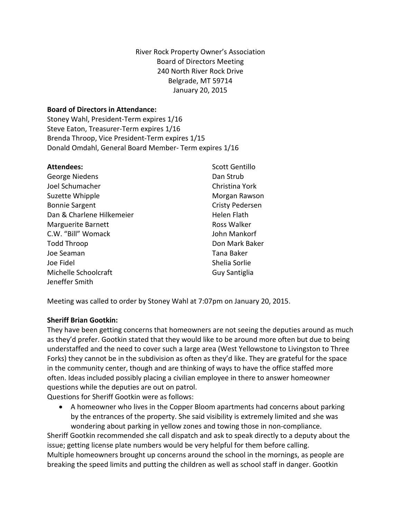#### **Board of Directors in Attendance:**

Stoney Wahl, President-Term expires 1/16 Steve Eaton, Treasurer-Term expires 1/16 Brenda Throop, Vice President-Term expires 1/15 Donald Omdahl, General Board Member- Term expires 1/16

| <b>Attendees:</b>         | Scott Gentillo         |
|---------------------------|------------------------|
| George Niedens            | Dan Strub              |
| Joel Schumacher           | Christina York         |
| Suzette Whipple           | Morgan Rawson          |
| <b>Bonnie Sargent</b>     | <b>Cristy Pedersen</b> |
| Dan & Charlene Hilkemeier | <b>Helen Flath</b>     |
| <b>Marguerite Barnett</b> | Ross Walker            |
| C.W. "Bill" Womack        | John Mankorf           |
| <b>Todd Throop</b>        | Don Mark Baker         |
| Joe Seaman                | Tana Baker             |
| Joe Fidel                 | Shelia Sorlie          |
| Michelle Schoolcraft      | Guy Santiglia          |
| Jeneffer Smith            |                        |

Meeting was called to order by Stoney Wahl at 7:07pm on January 20, 2015.

#### **Sheriff Brian Gootkin:**

They have been getting concerns that homeowners are not seeing the deputies around as much as they'd prefer. Gootkin stated that they would like to be around more often but due to being understaffed and the need to cover such a large area (West Yellowstone to Livingston to Three Forks) they cannot be in the subdivision as often as they'd like. They are grateful for the space in the community center, though and are thinking of ways to have the office staffed more often. Ideas included possibly placing a civilian employee in there to answer homeowner questions while the deputies are out on patrol.

Questions for Sheriff Gootkin were as follows:

• A homeowner who lives in the Copper Bloom apartments had concerns about parking by the entrances of the property. She said visibility is extremely limited and she was wondering about parking in yellow zones and towing those in non-compliance.

Sheriff Gootkin recommended she call dispatch and ask to speak directly to a deputy about the issue; getting license plate numbers would be very helpful for them before calling. Multiple homeowners brought up concerns around the school in the mornings, as people are breaking the speed limits and putting the children as well as school staff in danger. Gootkin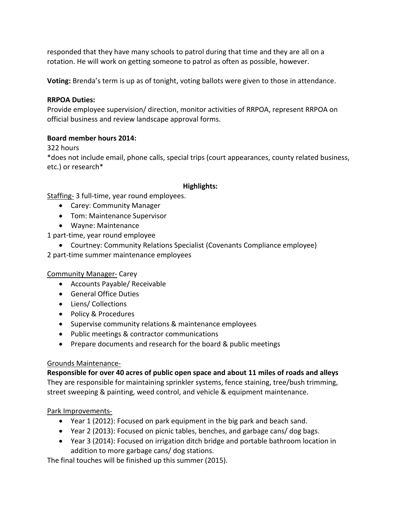responded that they have many schools to patrol during that time and they are all on a rotation. He will work on getting someone to patrol as often as possible, however.

**Voting:** Brenda's term is up as of tonight, voting ballots were given to those in attendance.

#### **RRPOA Duties:**

Provide employee supervision/ direction, monitor activities of RRPOA, represent RRPOA on official business and review landscape approval forms.

#### **Board member hours 2014:**

322 hours

\*does not include email, phone calls, special trips (court appearances, county related business, etc.) or research\*

#### **Highlights:**

Staffing- 3 full-time, year round employees.

- Carey: Community Manager
- Tom: Maintenance Supervisor
- Wayne: Maintenance

1 part-time, year round employee

- Courtney: Community Relations Specialist (Covenants Compliance employee)
- 2 part-time summer maintenance employees

#### Community Manager- Carey

- Accounts Payable/ Receivable
- General Office Duties
- Liens/ Collections
- Policy & Procedures
- Supervise community relations & maintenance employees
- Public meetings & contractor communications
- Prepare documents and research for the board & public meetings

#### Grounds Maintenance-

**Responsible for over 40 acres of public open space and about 11 miles of roads and alleys** They are responsible for maintaining sprinkler systems, fence staining, tree/bush trimming, street sweeping & painting, weed control, and vehicle & equipment maintenance.

#### Park Improvements-

- Year 1 (2012): Focused on park equipment in the big park and beach sand.
- Year 2 (2013): Focused on picnic tables, benches, and garbage cans/ dog bags.
- Year 3 (2014): Focused on irrigation ditch bridge and portable bathroom location in addition to more garbage cans/ dog stations.

The final touches will be finished up this summer (2015).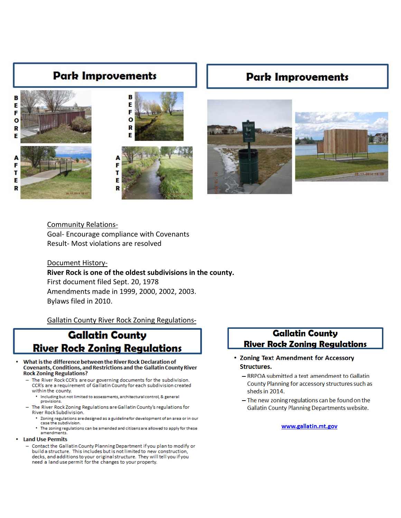# **Park Improvements**



# **Park Improvements**



Community Relations-Goal- Encourage compliance with Covenants Result- Most violations are resolved

### Document History-**River Rock is one of the oldest subdivisions in the county.** First document filed Sept. 20, 1978 Amendments made in 1999, 2000, 2002, 2003. Bylaws filed in 2010.

Gallatin County River Rock Zoning Regulations-

# **Gallatin County River Rock Zoning Regulations**

- What is the difference between the River Rock Declaration of Covenants, Conditions, and Restrictions and the Gallatin County River **Rock Zoning Regulations?** 
	- The River Rock CCR's are our governing documents for the subdivision. CCR's are a requirement of Gallatin County for each subdivision created within the county
		- . Including but not limited to assessments, architectural control, & general provisions.
		- The River Rock Zoning Regulations are Gallatin County's regulations for River Rock Subdivision.
			- \* Zoning regulations are designed as a guideline for development of an area or in our case the subdivision.
				- The zoning regulations can be amended and citizens are allowed to apply for these amendments.

#### **Land Use Permits**

- Contact the Gallatin County Planning Department if you plan to modify or build a structure. This includes but is not limited to new construction, decks, and additions to your original structure. They will tell you if you need a land use permit for the changes to your property.

# **Gallatin County River Rock Zoning Regulations**

- Zoning Text Amendment for Accessory **Structures.** 
	- RRPOA submitted a text amendment to Gallatin County Planning for accessory structures such as sheds in 2014.
	- The new zoning regulations can be found on the **Gallatin County Planning Departments website.**

#### www.gallatin.mt.gov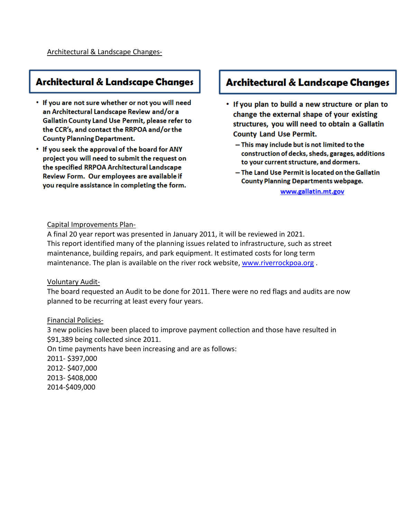# **Architectural & Landscape Changes**

- If you are not sure whether or not you will need an Architectural Landscape Review and/or a Gallatin County Land Use Permit, please refer to the CCR's, and contact the RRPOA and/or the **County Planning Department.**
- If you seek the approval of the board for ANY project you will need to submit the request on the specified RRPOA Architectural Landscape Review Form. Our employees are available if you require assistance in completing the form.

# **Architectural & Landscape Changes**

- . If you plan to build a new structure or plan to change the external shape of your existing structures, you will need to obtain a Gallatin **County Land Use Permit.** 
	- This may include but is not limited to the construction of decks, sheds, garages, additions to your current structure, and dormers.
	- The Land Use Permit is located on the Gallatin **County Planning Departments webpage.**

www.gallatin.mt.gov

#### Capital Improvements Plan-

A final 20 year report was presented in January 2011, it will be reviewed in 2021. This report identified many of the planning issues related to infrastructure, such as street maintenance, building repairs, and park equipment. It estimated costs for long term maintenance. The plan is available on the river rock website, [www.riverrockpoa.org](http://www.riverrockpoa.org/) .

#### Voluntary Audit-

The board requested an Audit to be done for 2011. There were no red flags and audits are now planned to be recurring at least every four years.

#### Financial Policies-

3 new policies have been placed to improve payment collection and those have resulted in \$91,389 being collected since 2011. On time payments have been increasing and are as follows: 2011- \$397,000 2012- \$407,000

2013- \$408,000 2014-\$409,000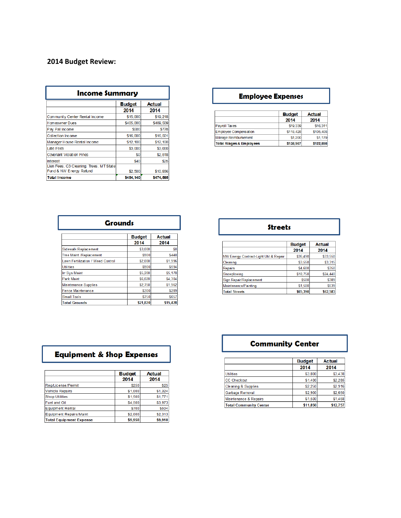# **2014 Budget Review:**

| <b>Income Summary</b>                   |               |               |
|-----------------------------------------|---------------|---------------|
|                                         | <b>Budget</b> | <b>Actual</b> |
|                                         | 2014          | 2014          |
| Community Center Rental Income          | \$15,000      | \$19,218      |
| <b>Homeowner Dues</b>                   | \$405,000     | \$409,509     |
| Pay Pal Income                          | \$500         | \$778         |
| Collection Income                       | \$16,000      | \$16,501      |
| Manager House Rental Income             | \$12,100      | \$12,100      |
| <b>Late Fees</b>                        | \$3,000       | \$3,000       |
| <b>Covenant Violation Fines</b>         | \$0           | \$2,518       |
| Interest                                | \$40          | \$25          |
| Lien Fees, C3 Cleaning, Trees, MT State |               |               |
| Fund & NW Energy Refund                 | \$2,500       | \$10,936      |
| <b>Total Income</b>                     | \$454,140     | \$474,585     |

### **Employee Expenses**

|                                    | <b>Budget</b> | <b>Actual</b> |
|------------------------------------|---------------|---------------|
|                                    | 2014          | 2014          |
| Payroll Taxes                      | \$19,339      | \$16,311      |
| <b>Employee Compensation</b>       | \$118,428     | \$105,408     |
| Mileage Reimbursement              | \$1,200       | \$1,179       |
| <b>Total Wages &amp; Employees</b> | \$138,967     | \$122,898     |

| <b>Grounds</b>                           |                       |                       |
|------------------------------------------|-----------------------|-----------------------|
|                                          | <b>Budget</b><br>2014 | <b>Actual</b><br>2014 |
| Sidewalk Replacement                     | \$3,000               | \$0                   |
| Tree Maint./Replacement                  | \$900                 | \$448                 |
| <b>Lawn Fertilization / Weed Control</b> | \$2,000               | \$1,996               |
| <b>Utilities</b>                         | \$900                 | \$594                 |
| <b>Irr Sys Maint</b>                     | \$5,200               | \$5,178               |
| Park Maint                               | \$6,020               | \$4,304               |
| <b>Maintenance Supplies</b>              | \$2,750               | \$1,962               |
| <b>Fence Maintenance</b>                 | \$300                 | \$289                 |
| <b>Small Tools</b>                       | \$750                 | \$657                 |
| <b>Total Grounds</b>                     | \$21,820              | \$15,428              |

| <b>Streets</b>                         |               |               |
|----------------------------------------|---------------|---------------|
|                                        | <b>Budget</b> | <b>Actual</b> |
|                                        | 2014          | 2014          |
| NW Energy Contract-Light Util & Repair | \$36,490      | \$33,550      |
| Cleaning                               | \$3,550       | \$3,315       |
| Repairs                                | \$4,600       | \$350         |
| Snowplowing                            | \$18,750      | \$24,440      |
| Sign Repair/Replacement                | \$500         | \$389         |
| Maintenance/Painting                   | \$1,500       | \$539         |
| <b>Total Streets</b>                   | \$65,390      | \$62,583      |

٦

# **Equipment & Shop Expenses**

|                                | <b>Budget</b> | Actual  |
|--------------------------------|---------------|---------|
|                                | 2014          | 2014    |
| Reg/License/Permit             | \$250         | \$25    |
| <b>Vehicle Repairs</b>         | \$1,000       | \$1,324 |
| <b>Shop Utilities</b>          | \$1,500       | \$1,771 |
| Fuel and Oil                   | \$4,500       | \$3,973 |
| <b>Equipment Rental</b>        | \$700         | \$504   |
| <b>Equipment Repairs/Maint</b> | \$2,000       | \$2,313 |
| <b>Total Equipment Expense</b> | \$9,950       | \$9,910 |

# **Community Center**

|                                | <b>Budget</b> | <b>Actual</b> |
|--------------------------------|---------------|---------------|
|                                | 2014          | 2014          |
| <b>Utilities</b>               | \$3,800       | \$3.438       |
| <b>CC Checkout</b>             | \$1,400       | \$2,285       |
| <b>Cleaning &amp; Supplies</b> | \$2.250       | \$2.916       |
| Garbage Removal                | \$2.900       | \$2,650       |
| Maintenance & Repairs          | \$1,500       | \$1,468       |
| <b>Total Community Center</b>  | \$11,850      | \$12,757      |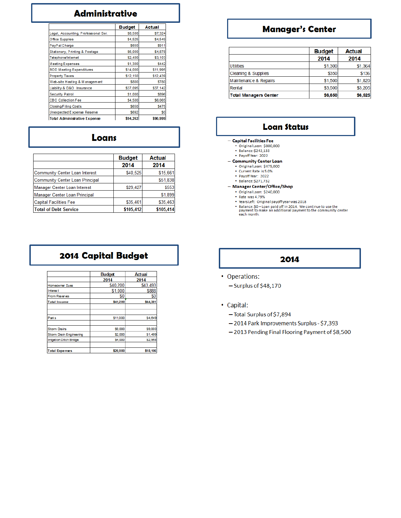# **Administrative**

|                                      | <b>Budget</b> | <b>Actual</b> |
|--------------------------------------|---------------|---------------|
| Legal, Accounting, Professional Ser. | \$8,500       | \$7,324       |
| Office Supplies                      | \$4,525       | \$4,549       |
| PayPal Charge                        | <b>\$650</b>  | <b>S911</b>   |
| Stationary, Printing & Postage       | \$6,000       | \$4,878       |
| Telephone/Intemet                    | \$2,400       | \$3,103       |
| <b>Meeting Expenses</b>              | \$1,300       | <b>\$442</b>  |
| <b>BOD Meeting Expenditures</b>      | \$14,000      | \$11,995      |
| <b>Property Taxes</b>                | \$12,150      | \$12,439      |
| Web-site Hosting & Management        | \$800         | \$780         |
| Liability & D&O Insurance            | \$37,095      | \$37,142      |
| <b>Security Patrol</b>               | \$1,000       | <b>\$896</b>  |
| <b>CBO Collection Fee</b>            | \$4,500       | \$6,065       |
| <b>Closing/Filing Costs</b>          | <b>\$650</b>  | <b>\$475</b>  |
| Unexpected Expense Reserve           | <b>S692</b>   | S0            |
| <b>Total Administrative Expense</b>  | \$94,262      | \$90,999      |

#### Loans

|                                 | <b>Budget</b> | <b>Actual</b> |
|---------------------------------|---------------|---------------|
|                                 | 2014          | 2014          |
| Community Center Loan Interest  | \$40,525      | \$15,661      |
| Community Center Loan Principal |               | \$51,838      |
| Manager Center Loan Interest    | \$29,427      | \$553         |
| Manager Center Loan Principal   |               | \$1,899       |
| <b>Capital Facilities Fee</b>   | \$35,461      | \$35,463      |
| <b>Total of Debt Service</b>    | \$105,412     | \$105,414     |

# 2014 Capital Budget

|                                | <b>Budget</b> | Actual        |
|--------------------------------|---------------|---------------|
|                                | 2014          | 2014          |
| Homeowner Dues                 | \$40,200      | \$43,493      |
| Interes t                      | \$1,000       | \$888         |
| <b>From Reserves</b>           | \$0           | \$0           |
| <b>Total Income</b>            | \$41,200      | \$44,381      |
|                                |               |               |
| <b>Parks</b>                   | \$11,000      | \$4,649       |
| <b>Storm Drains</b>            | \$9,000       | <b>S9,000</b> |
| Storm Drain Engineering        | \$2,000       | \$1,499       |
| <b>Irrigation Ditch Bridge</b> | \$4,000       | \$2,958       |
| <b>Total Expenses</b>          | \$26,000      | \$18,106      |

# **Manager's Center**

|                                | <b>Budget</b> | Actual  |
|--------------------------------|---------------|---------|
|                                | 2014          | 2014    |
| <b>Utilities</b>               | \$1,300       | \$1,364 |
| <b>Cleaning &amp; Supplies</b> | \$350         | \$136   |
| Maintenance & Repairs          | \$1,500       | \$1,820 |
| Rental                         | \$3,500       | \$3,205 |
| Total Managers Center          | \$6,650       | \$6,525 |

#### **Loan Status**

#### - Capital Facilities Fee

- · Original Loan: \$800,000 · Balance: \$242,133
- · Payoff Year: 2022
- Community Center Loan
	- · Original Loan: \$475,000
	- Current Rate is 5.0%
	- Payoff Year: 2022 • Balance: \$271,732
- Manager Center/Office/Shop
	- · Original Loan: \$240,000
	- · Rate was 4.79%
	-
	- Nuture Washington Press 2018<br>
	 Nears Left: Original payoff year was 2018<br>
	 Balance: \$0 Loan paid off in 2014. We continue to use the<br>
	payment to make an additional payment to the community center<br>
	each month.

# 2014

- Operations:
	- $-$  Surplus of \$48,170
- Capital:
	- Total Surplus of \$7,894
	- 2014 Park Improvements Surplus \$7,393
	- 2013 Pending Final Flooring Payment of \$8,500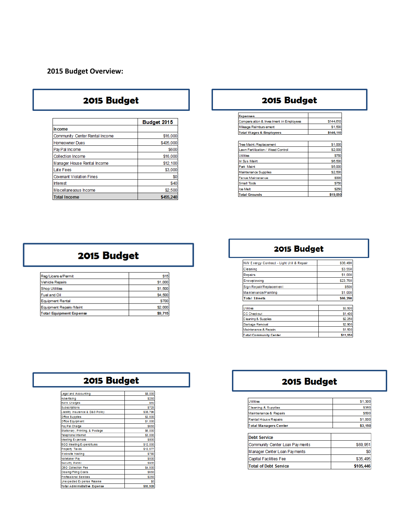### **2015 Budget Overview:**

# 2015 Budget

|                                 | Budget 2015 |
|---------------------------------|-------------|
| In come                         |             |
| Community Center Rental Income  | \$16,000    |
| <b>Homeowner Dues</b>           | \$405,000   |
| Pay Pal Income                  | \$600       |
| <b>Collection Income</b>        | \$16,000    |
| Manager House Rental Income     | \$12,100    |
| Late Fees                       | \$3,000     |
| <b>Covenant Violation Fines</b> | \$0         |
| <b>Interest</b>                 | \$40        |
| Miscellaneaous Income           | \$2,500     |
| <b>Total Income</b>             | \$455.240   |

# 2015 Budget

| <b>Expenses</b>                          |              |
|------------------------------------------|--------------|
| Compens ation & Inves tment in Employees | \$144,610    |
| Mileage Reimburs ement                   | \$1,500      |
| <b>Total Wages &amp; Employees</b>       | \$146,110    |
|                                          |              |
| Tree Maint./Replacement                  | \$1,000      |
| Lawn Fertilization / Weed Control        | \$2,000      |
| Utilities                                | \$750        |
| In Sys Maint                             | S6,500       |
| Park Maint                               | \$5,000      |
| Maintenance Supplies                     | \$2,500      |
| Fence Maintenance                        | \$300        |
| Small Tools                              | \$750        |
| loe Melt                                 | <b>\$250</b> |
| <b>Total Grounds</b>                     | \$19,050     |

# 2015 Budget

| Reg/Licens e/Permit            | <b>S15</b>  |
|--------------------------------|-------------|
| <b>Vehicle Recairs</b>         | \$1,000     |
| <b>Shop Utilities</b>          | \$1,500     |
| Fuel and Oil                   | \$4,500     |
| Equipment Rental               | <b>S700</b> |
| Equipment Repairs / Maint      | \$2,000     |
| <b>Total Equipment Expense</b> | \$9.715     |

# 2015 Budget

| NW Energy Contract - Light Util & Repair | \$36,490 |
|------------------------------------------|----------|
| Cleaning                                 | \$3,550  |
| Repairs                                  | \$1,000  |
| Snowplowing                              | \$23,750 |
| Sign Repair/Replacement                  | \$500    |
| Maintenance/Painting                     | \$1,000  |
| <b>Total Streets</b>                     | \$66,290 |
|                                          |          |
| Utilities                                | \$3,500  |
| <b>CC Checkout</b>                       | S1.400   |
| Cleaning & Supplies                      | \$2,250  |
| Garbage Removal                          | \$2,900  |
| Maintenance & Repairs                    | \$1,500  |
| <b>Total Community Center</b>            | \$11.550 |

| 2015 Budget                      |          |
|----------------------------------|----------|
|                                  |          |
| Legal and Accounting             | \$8,000  |
| <b>Advertising</b>               | \$250    |
| <b>Bank Charges</b>              | \$50     |
| Subscriptions                    | \$725    |
| Liability Insurance & D&O Policy | \$38,796 |
| <b>Office Supplies</b>           | \$2.500  |
| Office Equipment                 | \$1,000  |
| Pay Pal Charge                   | \$650    |
| Stationary, Printing, & Postage  | \$6,000  |
| Telephone/internet               | \$3,000  |
| Meeting Expenses                 | \$800    |
| <b>BOD Meeting Expenditures</b>  | \$12,000 |
| Property Taxes                   | \$12,577 |
| Web-site hosting                 | \$780    |
| Notetaker Pay                    | \$500    |
| <b>Security Patiol</b>           | \$900    |
| CBO Collection Fee               | \$4,500  |
| Closing/Filing Costs             | \$650    |
| Professional Seivices            | \$250    |
| Unexpected Expense Reserve       | S0       |
| Total Administrative Froense     | \$93,928 |

# 2015 Budget

| Utilities                      | \$1,300     |
|--------------------------------|-------------|
| Cleaning & Supplies            | \$350       |
| Maintenance & Repairs          | <b>S500</b> |
| Rental House Repairs           | \$1,000     |
| <b>Total Managers Center</b>   | \$3,150     |
|                                |             |
| <b>Debt Service</b>            |             |
| Community Center Loan Payments | \$69,951    |
| Manager Center Loan Payments   | \$0         |
| Capital Facilities Fee         | \$35,495    |
| <b>Total of Debt Service</b>   | \$105,446   |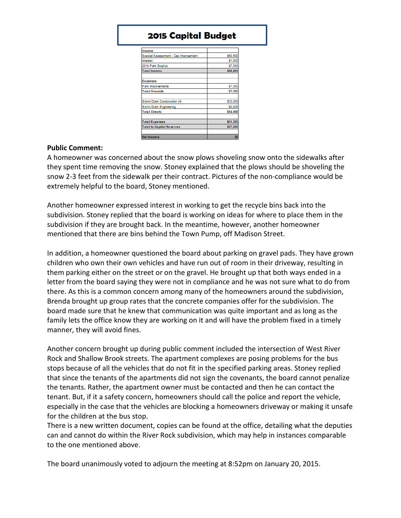# **2015 Capital Budget**

| Income                               |          |
|--------------------------------------|----------|
| Special Assessment - Cap Improvement | \$40,500 |
| Interest                             | \$1,000  |
| 2014 Park Surplus                    | \$7,393  |
| <b>Total Income</b>                  | \$48,893 |
|                                      |          |
| <b>Expenses</b>                      |          |
| Park Improvements                    | \$7,393  |
| <b>Total Grounds</b>                 | \$7,393  |
|                                      |          |
| Storm Drain Construction (4)         | \$12,000 |
| Storm Drain Engineering              | \$2,000  |
| <b>Total Streets</b>                 | \$14,000 |
|                                      |          |
| <b>Total Expenses</b>                | \$21,393 |
| <b>Total to Capital Reserves</b>     | \$27,500 |
|                                      |          |
| <b>Net Income</b>                    | \$n      |

#### **Public Comment:**

A homeowner was concerned about the snow plows shoveling snow onto the sidewalks after they spent time removing the snow. Stoney explained that the plows should be shoveling the snow 2-3 feet from the sidewalk per their contract. Pictures of the non-compliance would be extremely helpful to the board, Stoney mentioned.

Another homeowner expressed interest in working to get the recycle bins back into the subdivision. Stoney replied that the board is working on ideas for where to place them in the subdivision if they are brought back. In the meantime, however, another homeowner mentioned that there are bins behind the Town Pump, off Madison Street.

In addition, a homeowner questioned the board about parking on gravel pads. They have grown children who own their own vehicles and have run out of room in their driveway, resulting in them parking either on the street or on the gravel. He brought up that both ways ended in a letter from the board saying they were not in compliance and he was not sure what to do from there. As this is a common concern among many of the homeowners around the subdivision, Brenda brought up group rates that the concrete companies offer for the subdivision. The board made sure that he knew that communication was quite important and as long as the family lets the office know they are working on it and will have the problem fixed in a timely manner, they will avoid fines.

Another concern brought up during public comment included the intersection of West River Rock and Shallow Brook streets. The apartment complexes are posing problems for the bus stops because of all the vehicles that do not fit in the specified parking areas. Stoney replied that since the tenants of the apartments did not sign the covenants, the board cannot penalize the tenants. Rather, the apartment owner must be contacted and then he can contact the tenant. But, if it a safety concern, homeowners should call the police and report the vehicle, especially in the case that the vehicles are blocking a homeowners driveway or making it unsafe for the children at the bus stop.

There is a new written document, copies can be found at the office, detailing what the deputies can and cannot do within the River Rock subdivision, which may help in instances comparable to the one mentioned above.

The board unanimously voted to adjourn the meeting at 8:52pm on January 20, 2015.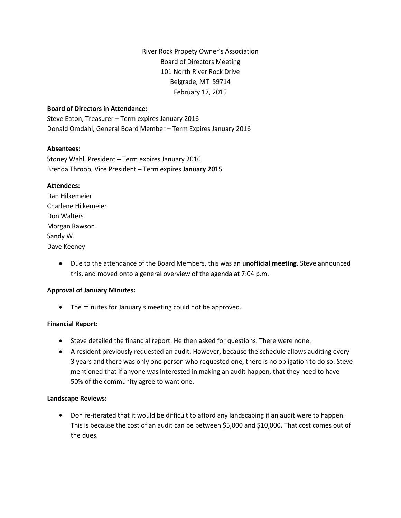#### **Board of Directors in Attendance:**

Steve Eaton, Treasurer – Term expires January 2016 Donald Omdahl, General Board Member – Term Expires January 2016

#### **Absentees:**

Stoney Wahl, President – Term expires January 2016 Brenda Throop, Vice President – Term expires **January 2015**

#### **Attendees:**

Dan Hilkemeier Charlene Hilkemeier Don Walters Morgan Rawson Sandy W. Dave Keeney

> • Due to the attendance of the Board Members, this was an **unofficial meeting**. Steve announced this, and moved onto a general overview of the agenda at 7:04 p.m.

#### **Approval of January Minutes:**

• The minutes for January's meeting could not be approved.

#### **Financial Report:**

- Steve detailed the financial report. He then asked for questions. There were none.
- A resident previously requested an audit. However, because the schedule allows auditing every 3 years and there was only one person who requested one, there is no obligation to do so. Steve mentioned that if anyone was interested in making an audit happen, that they need to have 50% of the community agree to want one.

#### **Landscape Reviews:**

• Don re-iterated that it would be difficult to afford any landscaping if an audit were to happen. This is because the cost of an audit can be between \$5,000 and \$10,000. That cost comes out of the dues.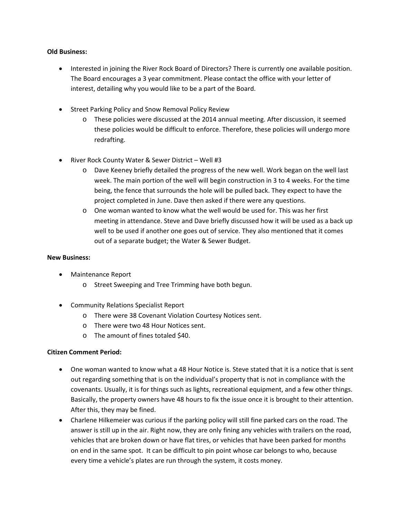#### **Old Business:**

- Interested in joining the River Rock Board of Directors? There is currently one available position. The Board encourages a 3 year commitment. Please contact the office with your letter of interest, detailing why you would like to be a part of the Board.
- Street Parking Policy and Snow Removal Policy Review
	- o These policies were discussed at the 2014 annual meeting. After discussion, it seemed these policies would be difficult to enforce. Therefore, these policies will undergo more redrafting.
- River Rock County Water & Sewer District Well #3
	- o Dave Keeney briefly detailed the progress of the new well. Work began on the well last week. The main portion of the well will begin construction in 3 to 4 weeks. For the time being, the fence that surrounds the hole will be pulled back. They expect to have the project completed in June. Dave then asked if there were any questions.
	- o One woman wanted to know what the well would be used for. This was her first meeting in attendance. Steve and Dave briefly discussed how it will be used as a back up well to be used if another one goes out of service. They also mentioned that it comes out of a separate budget; the Water & Sewer Budget.

#### **New Business:**

- Maintenance Report
	- o Street Sweeping and Tree Trimming have both begun.
- Community Relations Specialist Report
	- o There were 38 Covenant Violation Courtesy Notices sent.
	- o There were two 48 Hour Notices sent.
	- o The amount of fines totaled \$40.

#### **Citizen Comment Period:**

- One woman wanted to know what a 48 Hour Notice is. Steve stated that it is a notice that is sent out regarding something that is on the individual's property that is not in compliance with the covenants. Usually, it is for things such as lights, recreational equipment, and a few other things. Basically, the property owners have 48 hours to fix the issue once it is brought to their attention. After this, they may be fined.
- Charlene Hilkemeier was curious if the parking policy will still fine parked cars on the road. The answer is still up in the air. Right now, they are only fining any vehicles with trailers on the road, vehicles that are broken down or have flat tires, or vehicles that have been parked for months on end in the same spot. It can be difficult to pin point whose car belongs to who, because every time a vehicle's plates are run through the system, it costs money.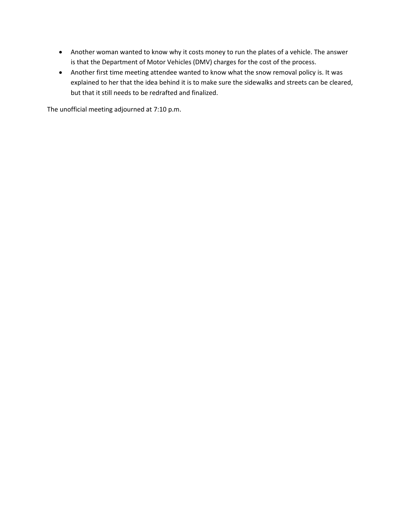- Another woman wanted to know why it costs money to run the plates of a vehicle. The answer is that the Department of Motor Vehicles (DMV) charges for the cost of the process.
- Another first time meeting attendee wanted to know what the snow removal policy is. It was explained to her that the idea behind it is to make sure the sidewalks and streets can be cleared, but that it still needs to be redrafted and finalized.

The unofficial meeting adjourned at 7:10 p.m.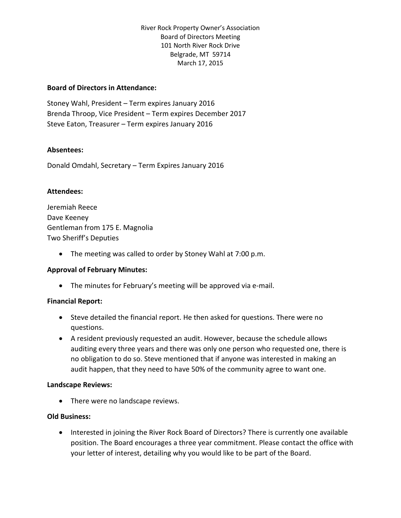#### **Board of Directors in Attendance:**

Stoney Wahl, President – Term expires January 2016 Brenda Throop, Vice President – Term expires December 2017 Steve Eaton, Treasurer – Term expires January 2016

#### **Absentees:**

Donald Omdahl, Secretary – Term Expires January 2016

#### **Attendees:**

Jeremiah Reece Dave Keeney Gentleman from 175 E. Magnolia Two Sheriff's Deputies

• The meeting was called to order by Stoney Wahl at 7:00 p.m.

#### **Approval of February Minutes:**

• The minutes for February's meeting will be approved via e-mail.

#### **Financial Report:**

- Steve detailed the financial report. He then asked for questions. There were no questions.
- A resident previously requested an audit. However, because the schedule allows auditing every three years and there was only one person who requested one, there is no obligation to do so. Steve mentioned that if anyone was interested in making an audit happen, that they need to have 50% of the community agree to want one.

#### **Landscape Reviews:**

• There were no landscape reviews.

#### **Old Business:**

• Interested in joining the River Rock Board of Directors? There is currently one available position. The Board encourages a three year commitment. Please contact the office with your letter of interest, detailing why you would like to be part of the Board.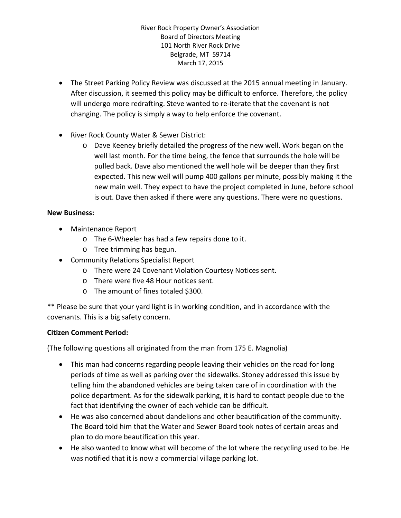- The Street Parking Policy Review was discussed at the 2015 annual meeting in January. After discussion, it seemed this policy may be difficult to enforce. Therefore, the policy will undergo more redrafting. Steve wanted to re-iterate that the covenant is not changing. The policy is simply a way to help enforce the covenant.
- River Rock County Water & Sewer District:
	- o Dave Keeney briefly detailed the progress of the new well. Work began on the well last month. For the time being, the fence that surrounds the hole will be pulled back. Dave also mentioned the well hole will be deeper than they first expected. This new well will pump 400 gallons per minute, possibly making it the new main well. They expect to have the project completed in June, before school is out. Dave then asked if there were any questions. There were no questions.

#### **New Business:**

- Maintenance Report
	- o The 6-Wheeler has had a few repairs done to it.
	- o Tree trimming has begun.
- Community Relations Specialist Report
	- o There were 24 Covenant Violation Courtesy Notices sent.
	- o There were five 48 Hour notices sent.
	- o The amount of fines totaled \$300.

\*\* Please be sure that your yard light is in working condition, and in accordance with the covenants. This is a big safety concern.

### **Citizen Comment Period:**

(The following questions all originated from the man from 175 E. Magnolia)

- This man had concerns regarding people leaving their vehicles on the road for long periods of time as well as parking over the sidewalks. Stoney addressed this issue by telling him the abandoned vehicles are being taken care of in coordination with the police department. As for the sidewalk parking, it is hard to contact people due to the fact that identifying the owner of each vehicle can be difficult.
- He was also concerned about dandelions and other beautification of the community. The Board told him that the Water and Sewer Board took notes of certain areas and plan to do more beautification this year.
- He also wanted to know what will become of the lot where the recycling used to be. He was notified that it is now a commercial village parking lot.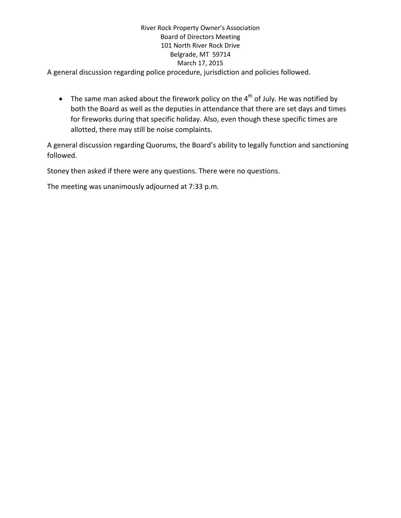A general discussion regarding police procedure, jurisdiction and policies followed.

• The same man asked about the firework policy on the  $4<sup>th</sup>$  of July. He was notified by both the Board as well as the deputies in attendance that there are set days and times for fireworks during that specific holiday. Also, even though these specific times are allotted, there may still be noise complaints.

A general discussion regarding Quorums, the Board's ability to legally function and sanctioning followed.

Stoney then asked if there were any questions. There were no questions.

The meeting was unanimously adjourned at 7:33 p.m.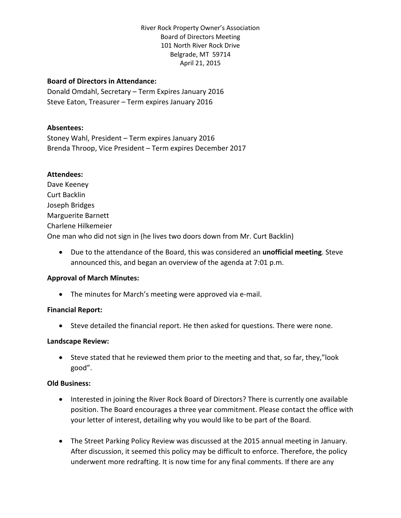#### **Board of Directors in Attendance:**

Donald Omdahl, Secretary – Term Expires January 2016 Steve Eaton, Treasurer – Term expires January 2016

#### **Absentees:**

Stoney Wahl, President – Term expires January 2016 Brenda Throop, Vice President – Term expires December 2017

#### **Attendees:**

Dave Keeney Curt Backlin Joseph Bridges Marguerite Barnett Charlene Hilkemeier One man who did not sign in (he lives two doors down from Mr. Curt Backlin)

• Due to the attendance of the Board, this was considered an **unofficial meeting**. Steve announced this, and began an overview of the agenda at 7:01 p.m.

#### **Approval of March Minutes:**

• The minutes for March's meeting were approved via e-mail.

#### **Financial Report:**

• Steve detailed the financial report. He then asked for questions. There were none.

#### **Landscape Review:**

• Steve stated that he reviewed them prior to the meeting and that, so far, they,"look good".

#### **Old Business:**

- Interested in joining the River Rock Board of Directors? There is currently one available position. The Board encourages a three year commitment. Please contact the office with your letter of interest, detailing why you would like to be part of the Board.
- The Street Parking Policy Review was discussed at the 2015 annual meeting in January. After discussion, it seemed this policy may be difficult to enforce. Therefore, the policy underwent more redrafting. It is now time for any final comments. If there are any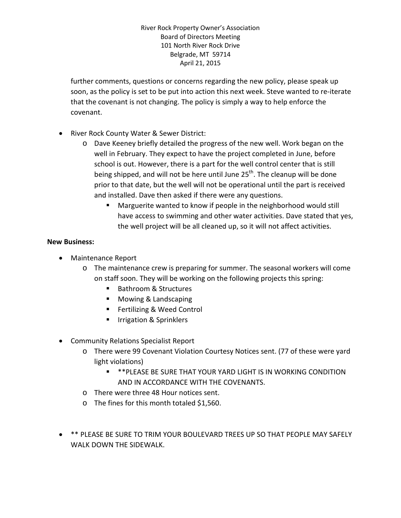further comments, questions or concerns regarding the new policy, please speak up soon, as the policy is set to be put into action this next week. Steve wanted to re-iterate that the covenant is not changing. The policy is simply a way to help enforce the covenant.

- River Rock County Water & Sewer District:
	- o Dave Keeney briefly detailed the progress of the new well. Work began on the well in February. They expect to have the project completed in June, before school is out. However, there is a part for the well control center that is still being shipped, and will not be here until June  $25<sup>th</sup>$ . The cleanup will be done prior to that date, but the well will not be operational until the part is received and installed. Dave then asked if there were any questions.
		- Marguerite wanted to know if people in the neighborhood would still have access to swimming and other water activities. Dave stated that yes, the well project will be all cleaned up, so it will not affect activities.

#### **New Business:**

- Maintenance Report
	- o The maintenance crew is preparing for summer. The seasonal workers will come on staff soon. They will be working on the following projects this spring:
		- Bathroom & Structures
		- Mowing & Landscaping
		- Fertilizing & Weed Control
		- Irrigation & Sprinklers
- Community Relations Specialist Report
	- o There were 99 Covenant Violation Courtesy Notices sent. (77 of these were yard light violations)
		- \*\*PLEASE BE SURE THAT YOUR YARD LIGHT IS IN WORKING CONDITION AND IN ACCORDANCE WITH THE COVENANTS.
	- o There were three 48 Hour notices sent.
	- o The fines for this month totaled \$1,560.
- \*\* PLEASE BE SURE TO TRIM YOUR BOULEVARD TREES UP SO THAT PEOPLE MAY SAFELY WALK DOWN THE SIDEWALK.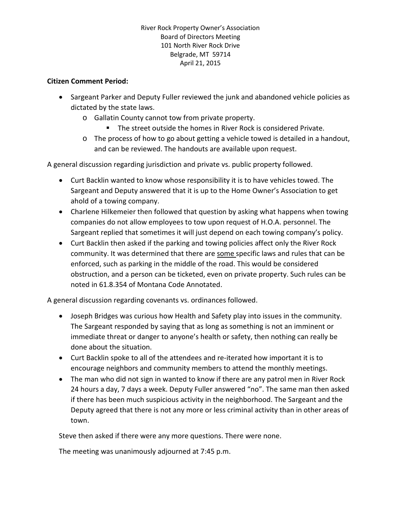#### **Citizen Comment Period:**

- Sargeant Parker and Deputy Fuller reviewed the junk and abandoned vehicle policies as dictated by the state laws.
	- o Gallatin County cannot tow from private property.
		- The street outside the homes in River Rock is considered Private.
	- $\circ$  The process of how to go about getting a vehicle towed is detailed in a handout, and can be reviewed. The handouts are available upon request.

A general discussion regarding jurisdiction and private vs. public property followed.

- Curt Backlin wanted to know whose responsibility it is to have vehicles towed. The Sargeant and Deputy answered that it is up to the Home Owner's Association to get ahold of a towing company.
- Charlene Hilkemeier then followed that question by asking what happens when towing companies do not allow employees to tow upon request of H.O.A. personnel. The Sargeant replied that sometimes it will just depend on each towing company's policy.
- Curt Backlin then asked if the parking and towing policies affect only the River Rock community. It was determined that there are some specific laws and rules that can be enforced, such as parking in the middle of the road. This would be considered obstruction, and a person can be ticketed, even on private property. Such rules can be noted in 61.8.354 of Montana Code Annotated.

A general discussion regarding covenants vs. ordinances followed.

- Joseph Bridges was curious how Health and Safety play into issues in the community. The Sargeant responded by saying that as long as something is not an imminent or immediate threat or danger to anyone's health or safety, then nothing can really be done about the situation.
- Curt Backlin spoke to all of the attendees and re-iterated how important it is to encourage neighbors and community members to attend the monthly meetings.
- The man who did not sign in wanted to know if there are any patrol men in River Rock 24 hours a day, 7 days a week. Deputy Fuller answered "no". The same man then asked if there has been much suspicious activity in the neighborhood. The Sargeant and the Deputy agreed that there is not any more or less criminal activity than in other areas of town.

Steve then asked if there were any more questions. There were none.

The meeting was unanimously adjourned at 7:45 p.m.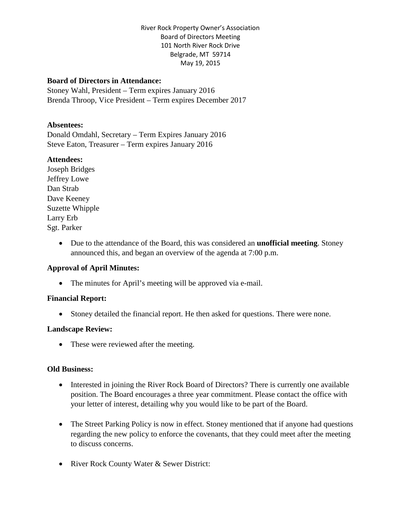#### **Board of Directors in Attendance:**

Stoney Wahl, President – Term expires January 2016 Brenda Throop, Vice President – Term expires December 2017

#### **Absentees:**

Donald Omdahl, Secretary – Term Expires January 2016 Steve Eaton, Treasurer – Term expires January 2016

#### **Attendees:**

Joseph Bridges Jeffrey Lowe Dan Strab Dave Keeney Suzette Whipple Larry Erb Sgt. Parker

> • Due to the attendance of the Board, this was considered an **unofficial meeting**. Stoney announced this, and began an overview of the agenda at 7:00 p.m.

#### **Approval of April Minutes:**

• The minutes for April's meeting will be approved via e-mail.

#### **Financial Report:**

• Stoney detailed the financial report. He then asked for questions. There were none.

#### **Landscape Review:**

• These were reviewed after the meeting.

#### **Old Business:**

- Interested in joining the River Rock Board of Directors? There is currently one available position. The Board encourages a three year commitment. Please contact the office with your letter of interest, detailing why you would like to be part of the Board.
- The Street Parking Policy is now in effect. Stoney mentioned that if anyone had questions regarding the new policy to enforce the covenants, that they could meet after the meeting to discuss concerns.
- River Rock County Water & Sewer District: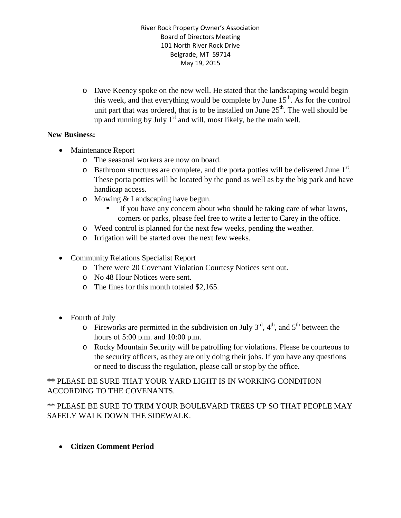o Dave Keeney spoke on the new well. He stated that the landscaping would begin this week, and that everything would be complete by June  $15<sup>th</sup>$ . As for the control unit part that was ordered, that is to be installed on June  $25<sup>th</sup>$ . The well should be up and running by July  $1<sup>st</sup>$  and will, most likely, be the main well.

### **New Business:**

- Maintenance Report
	- o The seasonal workers are now on board.
	- $\circ$  Bathroom structures are complete, and the porta potties will be delivered June  $1<sup>st</sup>$ . These porta potties will be located by the pond as well as by the big park and have handicap access.
	- o Mowing & Landscaping have begun.
		- If you have any concern about who should be taking care of what lawns, corners or parks, please feel free to write a letter to Carey in the office.
	- o Weed control is planned for the next few weeks, pending the weather.
	- o Irrigation will be started over the next few weeks.
- Community Relations Specialist Report
	- o There were 20 Covenant Violation Courtesy Notices sent out.
	- o No 48 Hour Notices were sent.
	- o The fines for this month totaled \$2,165.
- Fourth of July
	- $\circ$  Fireworks are permitted in the subdivision on July 3<sup>rd</sup>, 4<sup>th</sup>, and 5<sup>th</sup> between the hours of 5:00 p.m. and 10:00 p.m.
	- o Rocky Mountain Security will be patrolling for violations. Please be courteous to the security officers, as they are only doing their jobs. If you have any questions or need to discuss the regulation, please call or stop by the office.

### **\*\*** PLEASE BE SURE THAT YOUR YARD LIGHT IS IN WORKING CONDITION ACCORDING TO THE COVENANTS.

\*\* PLEASE BE SURE TO TRIM YOUR BOULEVARD TREES UP SO THAT PEOPLE MAY SAFELY WALK DOWN THE SIDEWALK.

• **Citizen Comment Period**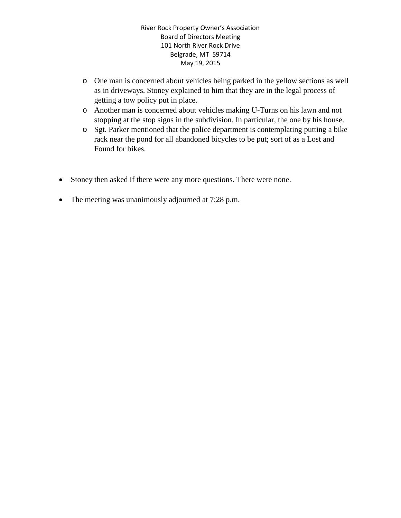- o One man is concerned about vehicles being parked in the yellow sections as well as in driveways. Stoney explained to him that they are in the legal process of getting a tow policy put in place.
- o Another man is concerned about vehicles making U-Turns on his lawn and not stopping at the stop signs in the subdivision. In particular, the one by his house.
- o Sgt. Parker mentioned that the police department is contemplating putting a bike rack near the pond for all abandoned bicycles to be put; sort of as a Lost and Found for bikes.
- Stoney then asked if there were any more questions. There were none.
- The meeting was unanimously adjourned at 7:28 p.m.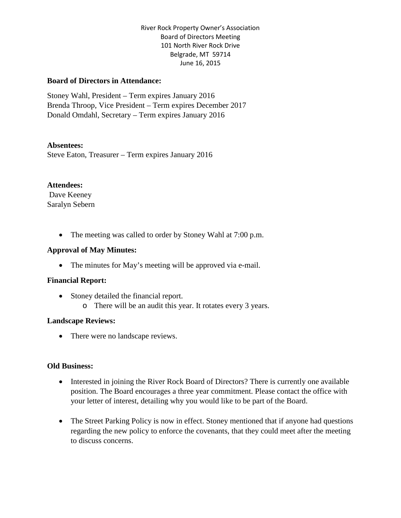#### **Board of Directors in Attendance:**

Stoney Wahl, President – Term expires January 2016 Brenda Throop, Vice President – Term expires December 2017 Donald Omdahl, Secretary – Term expires January 2016

#### **Absentees:**

Steve Eaton, Treasurer – Term expires January 2016

#### **Attendees:**

Dave Keeney Saralyn Sebern

• The meeting was called to order by Stoney Wahl at 7:00 p.m.

#### **Approval of May Minutes:**

• The minutes for May's meeting will be approved via e-mail.

#### **Financial Report:**

- Stoney detailed the financial report.
	- o There will be an audit this year. It rotates every 3 years.

#### **Landscape Reviews:**

• There were no landscape reviews.

#### **Old Business:**

- Interested in joining the River Rock Board of Directors? There is currently one available position. The Board encourages a three year commitment. Please contact the office with your letter of interest, detailing why you would like to be part of the Board.
- The Street Parking Policy is now in effect. Stoney mentioned that if anyone had questions regarding the new policy to enforce the covenants, that they could meet after the meeting to discuss concerns.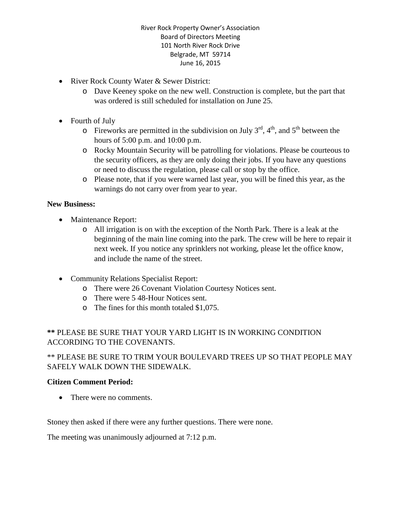- River Rock County Water & Sewer District:
	- o Dave Keeney spoke on the new well. Construction is complete, but the part that was ordered is still scheduled for installation on June 25.
- Fourth of July
	- $\circ$  Fireworks are permitted in the subdivision on July 3<sup>rd</sup>, 4<sup>th</sup>, and 5<sup>th</sup> between the hours of 5:00 p.m. and 10:00 p.m.
	- o Rocky Mountain Security will be patrolling for violations. Please be courteous to the security officers, as they are only doing their jobs. If you have any questions or need to discuss the regulation, please call or stop by the office.
	- o Please note, that if you were warned last year, you will be fined this year, as the warnings do not carry over from year to year.

### **New Business:**

- Maintenance Report:
	- o All irrigation is on with the exception of the North Park. There is a leak at the beginning of the main line coming into the park. The crew will be here to repair it next week. If you notice any sprinklers not working, please let the office know, and include the name of the street.
- Community Relations Specialist Report:
	- o There were 26 Covenant Violation Courtesy Notices sent.
	- o There were 5 48-Hour Notices sent.
	- o The fines for this month totaled \$1,075.

# **\*\*** PLEASE BE SURE THAT YOUR YARD LIGHT IS IN WORKING CONDITION ACCORDING TO THE COVENANTS.

# \*\* PLEASE BE SURE TO TRIM YOUR BOULEVARD TREES UP SO THAT PEOPLE MAY SAFELY WALK DOWN THE SIDEWALK.

### **Citizen Comment Period:**

• There were no comments.

Stoney then asked if there were any further questions. There were none.

The meeting was unanimously adjourned at 7:12 p.m.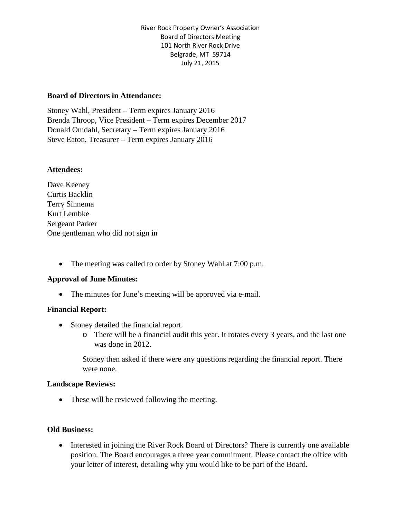#### **Board of Directors in Attendance:**

Stoney Wahl, President – Term expires January 2016 Brenda Throop, Vice President – Term expires December 2017 Donald Omdahl, Secretary – Term expires January 2016 Steve Eaton, Treasurer – Term expires January 2016

#### **Attendees:**

Dave Keeney Curtis Backlin Terry Sinnema Kurt Lembke Sergeant Parker One gentleman who did not sign in

• The meeting was called to order by Stoney Wahl at 7:00 p.m.

#### **Approval of June Minutes:**

• The minutes for June's meeting will be approved via e-mail.

#### **Financial Report:**

- Stoney detailed the financial report.
	- o There will be a financial audit this year. It rotates every 3 years, and the last one was done in 2012.

Stoney then asked if there were any questions regarding the financial report. There were none.

#### **Landscape Reviews:**

• These will be reviewed following the meeting.

#### **Old Business:**

• Interested in joining the River Rock Board of Directors? There is currently one available position. The Board encourages a three year commitment. Please contact the office with your letter of interest, detailing why you would like to be part of the Board.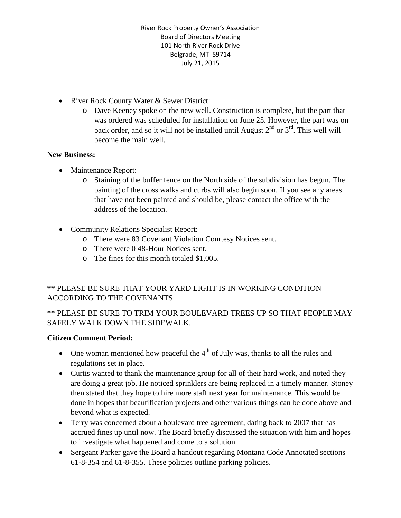- River Rock County Water & Sewer District:
	- o Dave Keeney spoke on the new well. Construction is complete, but the part that was ordered was scheduled for installation on June 25. However, the part was on back order, and so it will not be installed until August  $2<sup>nd</sup>$  or  $3<sup>rd</sup>$ . This well will become the main well.

#### **New Business:**

- Maintenance Report:
	- o Staining of the buffer fence on the North side of the subdivision has begun. The painting of the cross walks and curbs will also begin soon. If you see any areas that have not been painted and should be, please contact the office with the address of the location.
- Community Relations Specialist Report:
	- o There were 83 Covenant Violation Courtesy Notices sent.
	- o There were 0 48-Hour Notices sent.
	- o The fines for this month totaled \$1,005.

# **\*\*** PLEASE BE SURE THAT YOUR YARD LIGHT IS IN WORKING CONDITION ACCORDING TO THE COVENANTS.

### \*\* PLEASE BE SURE TO TRIM YOUR BOULEVARD TREES UP SO THAT PEOPLE MAY SAFELY WALK DOWN THE SIDEWALK.

### **Citizen Comment Period:**

- One woman mentioned how peaceful the  $4<sup>th</sup>$  of July was, thanks to all the rules and regulations set in place.
- Curtis wanted to thank the maintenance group for all of their hard work, and noted they are doing a great job. He noticed sprinklers are being replaced in a timely manner. Stoney then stated that they hope to hire more staff next year for maintenance. This would be done in hopes that beautification projects and other various things can be done above and beyond what is expected.
- Terry was concerned about a boulevard tree agreement, dating back to 2007 that has accrued fines up until now. The Board briefly discussed the situation with him and hopes to investigate what happened and come to a solution.
- Sergeant Parker gave the Board a handout regarding Montana Code Annotated sections 61-8-354 and 61-8-355. These policies outline parking policies.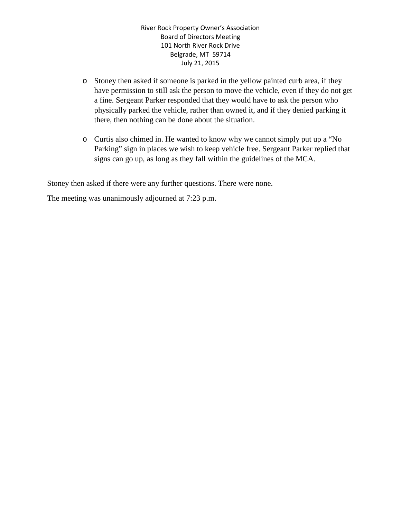- o Stoney then asked if someone is parked in the yellow painted curb area, if they have permission to still ask the person to move the vehicle, even if they do not get a fine. Sergeant Parker responded that they would have to ask the person who physically parked the vehicle, rather than owned it, and if they denied parking it there, then nothing can be done about the situation.
- o Curtis also chimed in. He wanted to know why we cannot simply put up a "No Parking" sign in places we wish to keep vehicle free. Sergeant Parker replied that signs can go up, as long as they fall within the guidelines of the MCA.

Stoney then asked if there were any further questions. There were none.

The meeting was unanimously adjourned at 7:23 p.m.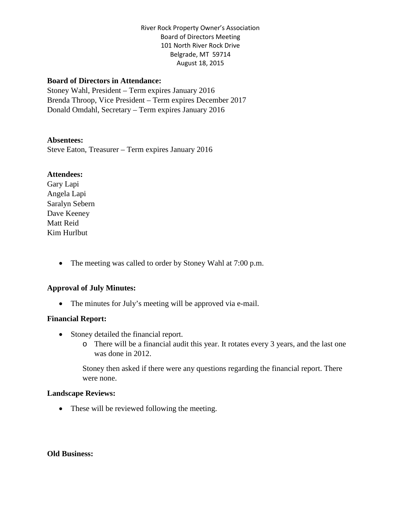#### **Board of Directors in Attendance:**

Stoney Wahl, President – Term expires January 2016 Brenda Throop, Vice President – Term expires December 2017 Donald Omdahl, Secretary – Term expires January 2016

#### **Absentees:**

Steve Eaton, Treasurer – Term expires January 2016

#### **Attendees:**

Gary Lapi Angela Lapi Saralyn Sebern Dave Keeney Matt Reid Kim Hurlbut

• The meeting was called to order by Stoney Wahl at 7:00 p.m.

#### **Approval of July Minutes:**

• The minutes for July's meeting will be approved via e-mail.

#### **Financial Report:**

- Stoney detailed the financial report.
	- o There will be a financial audit this year. It rotates every 3 years, and the last one was done in 2012.

Stoney then asked if there were any questions regarding the financial report. There were none.

#### **Landscape Reviews:**

• These will be reviewed following the meeting.

#### **Old Business:**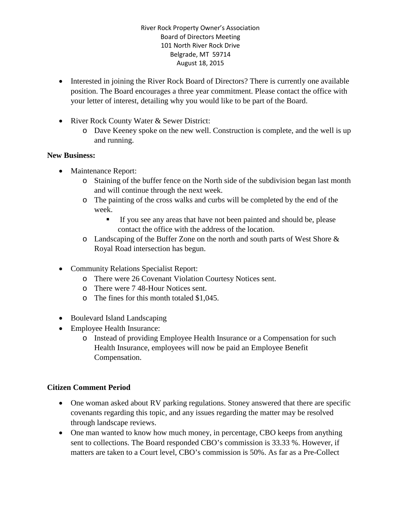- Interested in joining the River Rock Board of Directors? There is currently one available position. The Board encourages a three year commitment. Please contact the office with your letter of interest, detailing why you would like to be part of the Board.
- River Rock County Water & Sewer District:
	- o Dave Keeney spoke on the new well. Construction is complete, and the well is up and running.

### **New Business:**

- Maintenance Report:
	- o Staining of the buffer fence on the North side of the subdivision began last month and will continue through the next week.
	- o The painting of the cross walks and curbs will be completed by the end of the week.
		- If you see any areas that have not been painted and should be, please contact the office with the address of the location.
	- o Landscaping of the Buffer Zone on the north and south parts of West Shore & Royal Road intersection has begun.
- Community Relations Specialist Report:
	- o There were 26 Covenant Violation Courtesy Notices sent.
	- o There were 7 48-Hour Notices sent.
	- o The fines for this month totaled \$1,045.
- Boulevard Island Landscaping
- Employee Health Insurance:
	- o Instead of providing Employee Health Insurance or a Compensation for such Health Insurance, employees will now be paid an Employee Benefit Compensation.

### **Citizen Comment Period**

- One woman asked about RV parking regulations. Stoney answered that there are specific covenants regarding this topic, and any issues regarding the matter may be resolved through landscape reviews.
- One man wanted to know how much money, in percentage, CBO keeps from anything sent to collections. The Board responded CBO's commission is 33.33 %. However, if matters are taken to a Court level, CBO's commission is 50%. As far as a Pre-Collect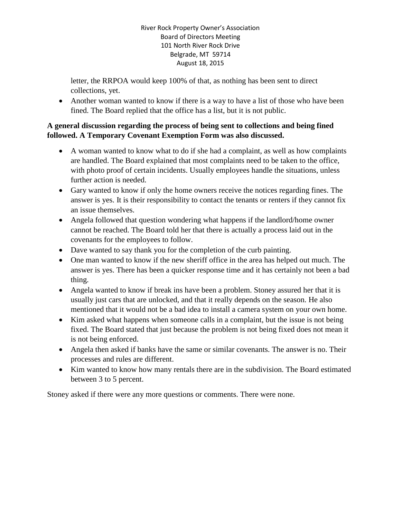letter, the RRPOA would keep 100% of that, as nothing has been sent to direct collections, yet.

• Another woman wanted to know if there is a way to have a list of those who have been fined. The Board replied that the office has a list, but it is not public.

### **A general discussion regarding the process of being sent to collections and being fined followed. A Temporary Covenant Exemption Form was also discussed.**

- A woman wanted to know what to do if she had a complaint, as well as how complaints are handled. The Board explained that most complaints need to be taken to the office, with photo proof of certain incidents. Usually employees handle the situations, unless further action is needed.
- Gary wanted to know if only the home owners receive the notices regarding fines. The answer is yes. It is their responsibility to contact the tenants or renters if they cannot fix an issue themselves.
- Angela followed that question wondering what happens if the landlord/home owner cannot be reached. The Board told her that there is actually a process laid out in the covenants for the employees to follow.
- Dave wanted to say thank you for the completion of the curb painting.
- One man wanted to know if the new sheriff office in the area has helped out much. The answer is yes. There has been a quicker response time and it has certainly not been a bad thing.
- Angela wanted to know if break ins have been a problem. Stoney assured her that it is usually just cars that are unlocked, and that it really depends on the season. He also mentioned that it would not be a bad idea to install a camera system on your own home.
- Kim asked what happens when someone calls in a complaint, but the issue is not being fixed. The Board stated that just because the problem is not being fixed does not mean it is not being enforced.
- Angela then asked if banks have the same or similar covenants. The answer is no. Their processes and rules are different.
- Kim wanted to know how many rentals there are in the subdivision. The Board estimated between 3 to 5 percent.

Stoney asked if there were any more questions or comments. There were none.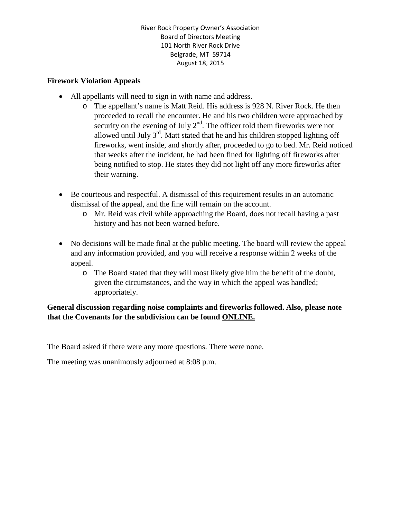### **Firework Violation Appeals**

- All appellants will need to sign in with name and address.
	- o The appellant's name is Matt Reid. His address is 928 N. River Rock. He then proceeded to recall the encounter. He and his two children were approached by security on the evening of July  $2<sup>nd</sup>$ . The officer told them fireworks were not allowed until July  $3^{rd}$ . Matt stated that he and his children stopped lighting off fireworks, went inside, and shortly after, proceeded to go to bed. Mr. Reid noticed that weeks after the incident, he had been fined for lighting off fireworks after being notified to stop. He states they did not light off any more fireworks after their warning.
- Be courteous and respectful. A dismissal of this requirement results in an automatic dismissal of the appeal, and the fine will remain on the account.
	- o Mr. Reid was civil while approaching the Board, does not recall having a past history and has not been warned before.
- No decisions will be made final at the public meeting. The board will review the appeal and any information provided, and you will receive a response within 2 weeks of the appeal.
	- o The Board stated that they will most likely give him the benefit of the doubt, given the circumstances, and the way in which the appeal was handled; appropriately.

# **General discussion regarding noise complaints and fireworks followed. Also, please note that the Covenants for the subdivision can be found ONLINE.**

The Board asked if there were any more questions. There were none.

The meeting was unanimously adjourned at 8:08 p.m.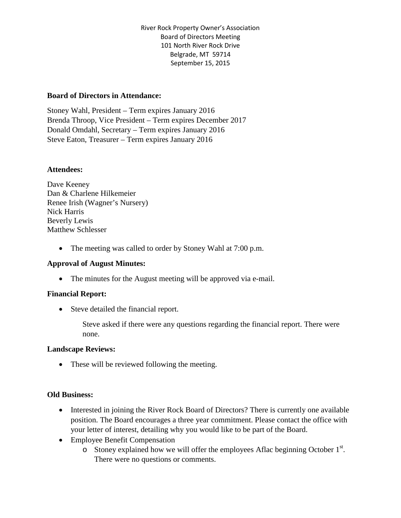#### **Board of Directors in Attendance:**

Stoney Wahl, President – Term expires January 2016 Brenda Throop, Vice President – Term expires December 2017 Donald Omdahl, Secretary – Term expires January 2016 Steve Eaton, Treasurer – Term expires January 2016

#### **Attendees:**

Dave Keeney Dan & Charlene Hilkemeier Renee Irish (Wagner's Nursery) Nick Harris Beverly Lewis Matthew Schlesser

• The meeting was called to order by Stoney Wahl at 7:00 p.m.

#### **Approval of August Minutes:**

• The minutes for the August meeting will be approved via e-mail.

### **Financial Report:**

• Steve detailed the financial report.

Steve asked if there were any questions regarding the financial report. There were none.

#### **Landscape Reviews:**

• These will be reviewed following the meeting.

#### **Old Business:**

- Interested in joining the River Rock Board of Directors? There is currently one available position. The Board encourages a three year commitment. Please contact the office with your letter of interest, detailing why you would like to be part of the Board.
- Employee Benefit Compensation
	- $\circ$  Stoney explained how we will offer the employees Aflac beginning October 1<sup>st</sup>. There were no questions or comments.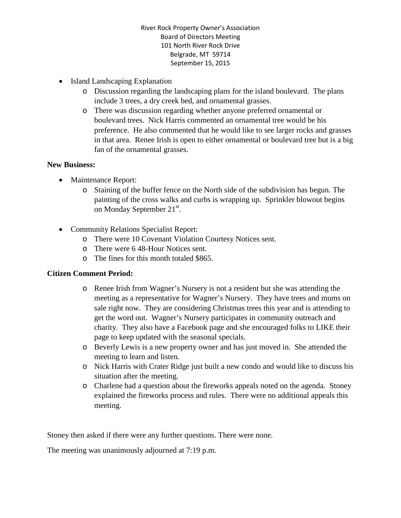- Island Landscaping Explanation
	- o Discussion regarding the landscaping plans for the island boulevard. The plans include 3 trees, a dry creek bed, and ornamental grasses.
	- o There was discussion regarding whether anyone preferred ornamental or boulevard trees. Nick Harris commented an ornamental tree would be his preference. He also commented that he would like to see larger rocks and grasses in that area. Renee Irish is open to either ornamental or boulevard tree but is a big fan of the ornamental grasses.

#### **New Business:**

- Maintenance Report:
	- o Staining of the buffer fence on the North side of the subdivision has begun. The painting of the cross walks and curbs is wrapping up. Sprinkler blowout begins on Monday September  $21^{st}$ .
- Community Relations Specialist Report:
	- o There were 10 Covenant Violation Courtesy Notices sent.
	- o There were 6 48-Hour Notices sent.
	- o The fines for this month totaled \$865.

### **Citizen Comment Period:**

- o Renee Irish from Wagner's Nursery is not a resident but she was attending the meeting as a representative for Wagner's Nursery. They have trees and mums on sale right now. They are considering Christmas trees this year and is attending to get the word out. Wagner's Nursery participates in community outreach and charity. They also have a Facebook page and she encouraged folks to LIKE their page to keep updated with the seasonal specials.
- o Beverly Lewis is a new property owner and has just moved in. She attended the meeting to learn and listen.
- o Nick Harris with Crater Ridge just built a new condo and would like to discuss his situation after the meeting.
- o Charlene had a question about the fireworks appeals noted on the agenda. Stoney explained the fireworks process and rules. There were no additional appeals this meeting.

Stoney then asked if there were any further questions. There were none.

The meeting was unanimously adjourned at 7:19 p.m.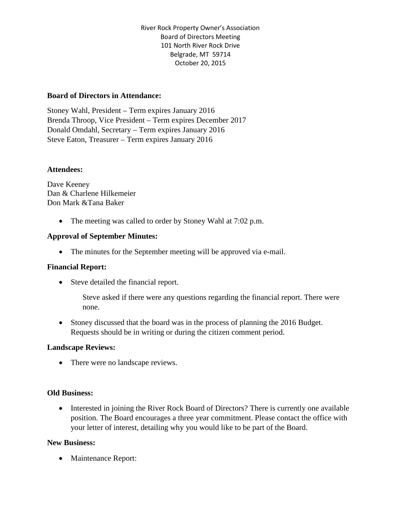#### **Board of Directors in Attendance:**

Stoney Wahl, President – Term expires January 2016 Brenda Throop, Vice President – Term expires December 2017 Donald Omdahl, Secretary – Term expires January 2016 Steve Eaton, Treasurer – Term expires January 2016

#### **Attendees:**

Dave Keeney Dan & Charlene Hilkemeier Don Mark &Tana Baker

• The meeting was called to order by Stoney Wahl at 7:02 p.m.

#### **Approval of September Minutes:**

• The minutes for the September meeting will be approved via e-mail.

#### **Financial Report:**

• Steve detailed the financial report.

Steve asked if there were any questions regarding the financial report. There were none.

• Stoney discussed that the board was in the process of planning the 2016 Budget. Requests should be in writing or during the citizen comment period.

#### **Landscape Reviews:**

• There were no landscape reviews.

#### **Old Business:**

• Interested in joining the River Rock Board of Directors? There is currently one available position. The Board encourages a three year commitment. Please contact the office with your letter of interest, detailing why you would like to be part of the Board.

#### **New Business:**

• Maintenance Report: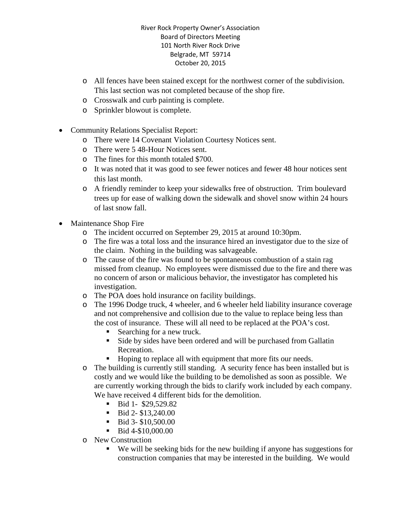- o All fences have been stained except for the northwest corner of the subdivision. This last section was not completed because of the shop fire.
- o Crosswalk and curb painting is complete.
- o Sprinkler blowout is complete.
- Community Relations Specialist Report:
	- o There were 14 Covenant Violation Courtesy Notices sent.
	- o There were 5 48-Hour Notices sent.
	- o The fines for this month totaled \$700.
	- o It was noted that it was good to see fewer notices and fewer 48 hour notices sent this last month.
	- o A friendly reminder to keep your sidewalks free of obstruction. Trim boulevard trees up for ease of walking down the sidewalk and shovel snow within 24 hours of last snow fall.
- Maintenance Shop Fire
	- o The incident occurred on September 29, 2015 at around 10:30pm.
	- o The fire was a total loss and the insurance hired an investigator due to the size of the claim. Nothing in the building was salvageable.
	- o The cause of the fire was found to be spontaneous combustion of a stain rag missed from cleanup. No employees were dismissed due to the fire and there was no concern of arson or malicious behavior, the investigator has completed his investigation.
	- o The POA does hold insurance on facility buildings.
	- o The 1996 Dodge truck, 4 wheeler, and 6 wheeler held liability insurance coverage and not comprehensive and collision due to the value to replace being less than the cost of insurance. These will all need to be replaced at the POA's cost.
		- Searching for a new truck.
		- Side by sides have been ordered and will be purchased from Gallatin Recreation.
		- Hoping to replace all with equipment that more fits our needs.
	- o The building is currently still standing. A security fence has been installed but is costly and we would like the building to be demolished as soon as possible. We are currently working through the bids to clarify work included by each company. We have received 4 different bids for the demolition.
		- Bid 1- \$29,529.82
		- $\blacksquare$  Bid 2- \$13,240.00
		- $\blacksquare$  Bid 3- \$10,500.00
		- Bid 4-\$10,000.00
	- o New Construction
		- We will be seeking bids for the new building if anyone has suggestions for construction companies that may be interested in the building. We would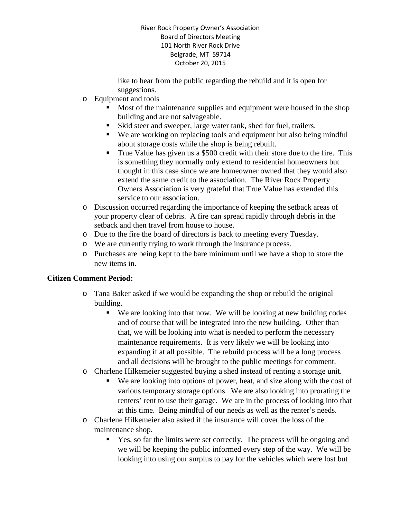like to hear from the public regarding the rebuild and it is open for suggestions.

- o Equipment and tools
	- Most of the maintenance supplies and equipment were housed in the shop building and are not salvageable.
	- Skid steer and sweeper, large water tank, shed for fuel, trailers.
	- We are working on replacing tools and equipment but also being mindful about storage costs while the shop is being rebuilt.
	- True Value has given us a \$500 credit with their store due to the fire. This is something they normally only extend to residential homeowners but thought in this case since we are homeowner owned that they would also extend the same credit to the association. The River Rock Property Owners Association is very grateful that True Value has extended this service to our association.
- o Discussion occurred regarding the importance of keeping the setback areas of your property clear of debris. A fire can spread rapidly through debris in the setback and then travel from house to house.
- o Due to the fire the board of directors is back to meeting every Tuesday.
- o We are currently trying to work through the insurance process.
- o Purchases are being kept to the bare minimum until we have a shop to store the new items in.

# **Citizen Comment Period:**

- o Tana Baker asked if we would be expanding the shop or rebuild the original building.
	- We are looking into that now. We will be looking at new building codes and of course that will be integrated into the new building. Other than that, we will be looking into what is needed to perform the necessary maintenance requirements. It is very likely we will be looking into expanding if at all possible. The rebuild process will be a long process and all decisions will be brought to the public meetings for comment.
- o Charlene Hilkemeier suggested buying a shed instead of renting a storage unit.
	- We are looking into options of power, heat, and size along with the cost of various temporary storage options. We are also looking into prorating the renters' rent to use their garage. We are in the process of looking into that at this time. Being mindful of our needs as well as the renter's needs.
- o Charlene Hilkemeier also asked if the insurance will cover the loss of the maintenance shop.
	- Yes, so far the limits were set correctly. The process will be ongoing and we will be keeping the public informed every step of the way. We will be looking into using our surplus to pay for the vehicles which were lost but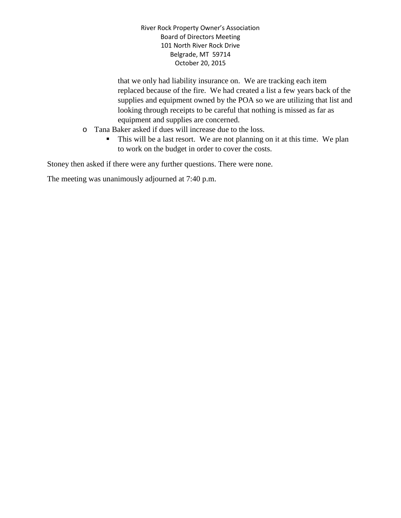that we only had liability insurance on. We are tracking each item replaced because of the fire. We had created a list a few years back of the supplies and equipment owned by the POA so we are utilizing that list and looking through receipts to be careful that nothing is missed as far as equipment and supplies are concerned.

- o Tana Baker asked if dues will increase due to the loss.
	- This will be a last resort. We are not planning on it at this time. We plan to work on the budget in order to cover the costs.

Stoney then asked if there were any further questions. There were none.

The meeting was unanimously adjourned at 7:40 p.m.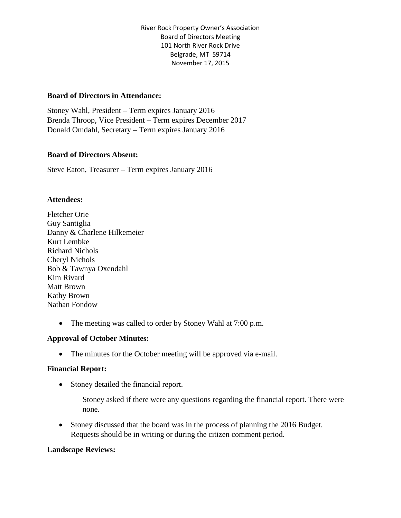#### **Board of Directors in Attendance:**

Stoney Wahl, President – Term expires January 2016 Brenda Throop, Vice President – Term expires December 2017 Donald Omdahl, Secretary – Term expires January 2016

#### **Board of Directors Absent:**

Steve Eaton, Treasurer – Term expires January 2016

#### **Attendees:**

Fletcher Orie Guy Santiglia Danny & Charlene Hilkemeier Kurt Lembke Richard Nichols Cheryl Nichols Bob & Tawnya Oxendahl Kim Rivard Matt Brown Kathy Brown Nathan Fondow

• The meeting was called to order by Stoney Wahl at 7:00 p.m.

### **Approval of October Minutes:**

• The minutes for the October meeting will be approved via e-mail.

#### **Financial Report:**

• Stoney detailed the financial report.

Stoney asked if there were any questions regarding the financial report. There were none.

• Stoney discussed that the board was in the process of planning the 2016 Budget. Requests should be in writing or during the citizen comment period.

#### **Landscape Reviews:**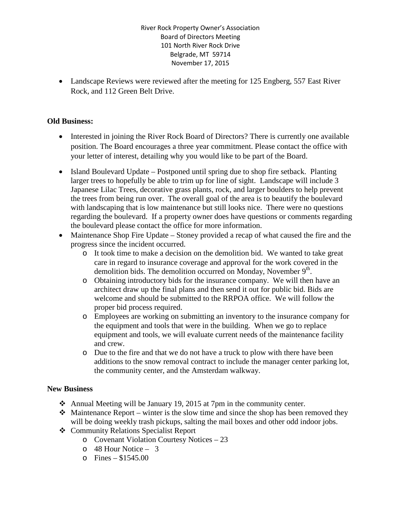• Landscape Reviews were reviewed after the meeting for 125 Engberg, 557 East River Rock, and 112 Green Belt Drive.

#### **Old Business:**

- Interested in joining the River Rock Board of Directors? There is currently one available position. The Board encourages a three year commitment. Please contact the office with your letter of interest, detailing why you would like to be part of the Board.
- Island Boulevard Update Postponed until spring due to shop fire setback. Planting larger trees to hopefully be able to trim up for line of sight. Landscape will include 3 Japanese Lilac Trees, decorative grass plants, rock, and larger boulders to help prevent the trees from being run over. The overall goal of the area is to beautify the boulevard with landscaping that is low maintenance but still looks nice. There were no questions regarding the boulevard. If a property owner does have questions or comments regarding the boulevard please contact the office for more information.
- Maintenance Shop Fire Update Stoney provided a recap of what caused the fire and the progress since the incident occurred.
	- o It took time to make a decision on the demolition bid. We wanted to take great care in regard to insurance coverage and approval for the work covered in the demolition bids. The demolition occurred on Monday, November  $9<sup>th</sup>$ .
	- o Obtaining introductory bids for the insurance company. We will then have an architect draw up the final plans and then send it out for public bid. Bids are welcome and should be submitted to the RRPOA office. We will follow the proper bid process required.
	- o Employees are working on submitting an inventory to the insurance company for the equipment and tools that were in the building. When we go to replace equipment and tools, we will evaluate current needs of the maintenance facility and crew.
	- o Due to the fire and that we do not have a truck to plow with there have been additions to the snow removal contract to include the manager center parking lot, the community center, and the Amsterdam walkway.

#### **New Business**

- Annual Meeting will be January 19, 2015 at 7pm in the community center.
- $\triangleleft$  Maintenance Report winter is the slow time and since the shop has been removed they will be doing weekly trash pickups, salting the mail boxes and other odd indoor jobs.
- Community Relations Specialist Report
	- o Covenant Violation Courtesy Notices 23
	- o 48 Hour Notice 3
	- $\circ$  Fines \$1545.00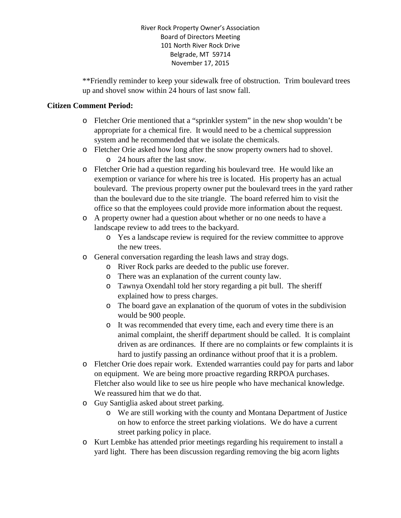\*\*Friendly reminder to keep your sidewalk free of obstruction. Trim boulevard trees up and shovel snow within 24 hours of last snow fall.

#### **Citizen Comment Period:**

- o Fletcher Orie mentioned that a "sprinkler system" in the new shop wouldn't be appropriate for a chemical fire. It would need to be a chemical suppression system and he recommended that we isolate the chemicals.
- o Fletcher Orie asked how long after the snow property owners had to shovel. o 24 hours after the last snow.
- o Fletcher Orie had a question regarding his boulevard tree. He would like an exemption or variance for where his tree is located. His property has an actual boulevard. The previous property owner put the boulevard trees in the yard rather than the boulevard due to the site triangle. The board referred him to visit the office so that the employees could provide more information about the request.
- o A property owner had a question about whether or no one needs to have a landscape review to add trees to the backyard.
	- o Yes a landscape review is required for the review committee to approve the new trees.
- o General conversation regarding the leash laws and stray dogs.
	- o River Rock parks are deeded to the public use forever.
	- o There was an explanation of the current county law.
	- o Tawnya Oxendahl told her story regarding a pit bull. The sheriff explained how to press charges.
	- o The board gave an explanation of the quorum of votes in the subdivision would be 900 people.
	- o It was recommended that every time, each and every time there is an animal complaint, the sheriff department should be called. It is complaint driven as are ordinances. If there are no complaints or few complaints it is hard to justify passing an ordinance without proof that it is a problem.
- o Fletcher Orie does repair work. Extended warranties could pay for parts and labor on equipment. We are being more proactive regarding RRPOA purchases. Fletcher also would like to see us hire people who have mechanical knowledge. We reassured him that we do that.
- o Guy Santiglia asked about street parking.
	- o We are still working with the county and Montana Department of Justice on how to enforce the street parking violations. We do have a current street parking policy in place.
- o Kurt Lembke has attended prior meetings regarding his requirement to install a yard light. There has been discussion regarding removing the big acorn lights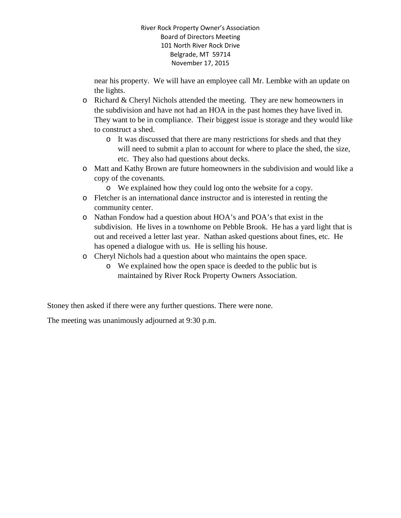near his property. We will have an employee call Mr. Lembke with an update on the lights.

- o Richard & Cheryl Nichols attended the meeting. They are new homeowners in the subdivision and have not had an HOA in the past homes they have lived in. They want to be in compliance. Their biggest issue is storage and they would like to construct a shed.
	- o It was discussed that there are many restrictions for sheds and that they will need to submit a plan to account for where to place the shed, the size, etc. They also had questions about decks.
- o Matt and Kathy Brown are future homeowners in the subdivision and would like a copy of the covenants.
	- o We explained how they could log onto the website for a copy.
- o Fletcher is an international dance instructor and is interested in renting the community center.
- o Nathan Fondow had a question about HOA's and POA's that exist in the subdivision. He lives in a townhome on Pebble Brook. He has a yard light that is out and received a letter last year. Nathan asked questions about fines, etc. He has opened a dialogue with us. He is selling his house.
- o Cheryl Nichols had a question about who maintains the open space.
	- o We explained how the open space is deeded to the public but is maintained by River Rock Property Owners Association.

Stoney then asked if there were any further questions. There were none.

The meeting was unanimously adjourned at 9:30 p.m.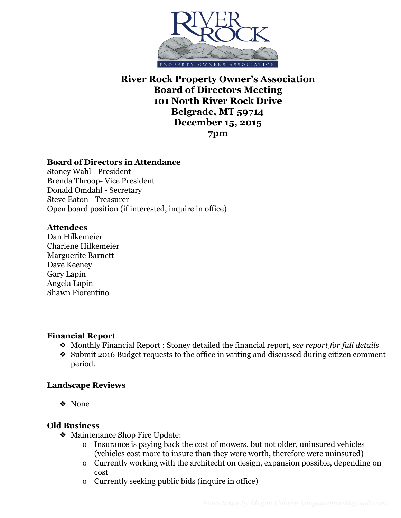

# **Board of Directors in Attendance**

Stoney Wahl - President Brenda Throop- Vice President Donald Omdahl - Secretary Steve Eaton - Treasurer Open board position (if interested, inquire in office)

#### **Attendees**

Dan Hilkemeier Charlene Hilkemeier Marguerite Barnett Dave Keeney Gary Lapin Angela Lapin Shawn Fiorentino

### **Financial Report**

- ❖ Monthly Financial Report : Stoney detailed the financial report, *see report for full details*
- ❖ Submit 2016 Budget requests to the office in writing and discussed during citizen comment period.

### **Landscape Reviews**

❖ None

### **Old Business**

- ❖ Maintenance Shop Fire Update:
	- o Insurance is paying back the cost of mowers, but not older, uninsured vehicles (vehicles cost more to insure than they were worth, therefore were uninsured)
	- o Currently working with the architecht on design, expansion possible, depending on cost
	- o Currently seeking public bids (inquire in office)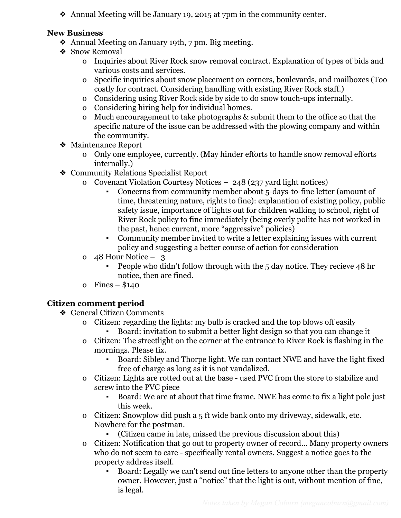❖ Annual Meeting will be January 19, 2015 at 7pm in the community center.

# **New Business**

- ❖ Annual Meeting on January 19th, 7 pm. Big meeting.
- ❖ Snow Removal
	- o Inquiries about River Rock snow removal contract. Explanation of types of bids and various costs and services.
	- o Specific inquiries about snow placement on corners, boulevards, and mailboxes (Too costly for contract. Considering handling with existing River Rock staff.)
	- o Considering using River Rock side by side to do snow touch-ups internally.
	- o Considering hiring help for individual homes.
	- o Much encouragement to take photographs & submit them to the office so that the specific nature of the issue can be addressed with the plowing company and within the community.
- ❖ Maintenance Report
	- o Only one employee, currently. (May hinder efforts to handle snow removal efforts internally.)
- ❖ Community Relations Specialist Report
	- o Covenant Violation Courtesy Notices 248 (237 yard light notices)
		- Concerns from community member about 5-days-to-fine letter (amount of time, threatening nature, rights to fine): explanation of existing policy, public safety issue, importance of lights out for children walking to school, right of River Rock policy to fine immediately (being overly polite has not worked in the past, hence current, more "aggressive" policies)
		- Community member invited to write a letter explaining issues with current policy and suggesting a better course of action for consideration
	- o 48 Hour Notice 3
		- People who didn't follow through with the 5 day notice. They recieve 48 hr notice, then are fined.
	- o Fines \$140

# **Citizen comment period**

- ❖ General Citizen Comments
	- o Citizen: regarding the lights: my bulb is cracked and the top blows off easily Board: invitation to submit a better light design so that you can change it
	- o Citizen: The streetlight on the corner at the entrance to River Rock is flashing in the mornings. Please fix.
		- Board: Sibley and Thorpe light. We can contact NWE and have the light fixed free of charge as long as it is not vandalized.
	- o Citizen: Lights are rotted out at the base used PVC from the store to stabilize and screw into the PVC piece
		- Board: We are at about that time frame. NWE has come to fix a light pole just this week.
	- o Citizen: Snowplow did push a 5 ft wide bank onto my driveway, sidewalk, etc. Nowhere for the postman.
		- (Citizen came in late, missed the previous discussion about this)
	- o Citizen: Notification that go out to property owner of record… Many property owners who do not seem to care - specifically rental owners. Suggest a notice goes to the property address itself.
		- Board: Legally we can't send out fine letters to anyone other than the property owner. However, just a "notice" that the light is out, without mention of fine, is legal.